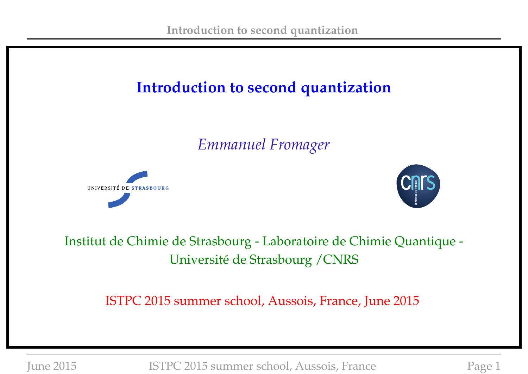## **Introduction to second quantization**

*Emmanuel Fromager*





### Institut de Chimie de Strasbourg - Laboratoire de Chimie Quantique - Université de Strasbourg /CNRS

ISTPC 2015 summer school, Aussois, France, June 2015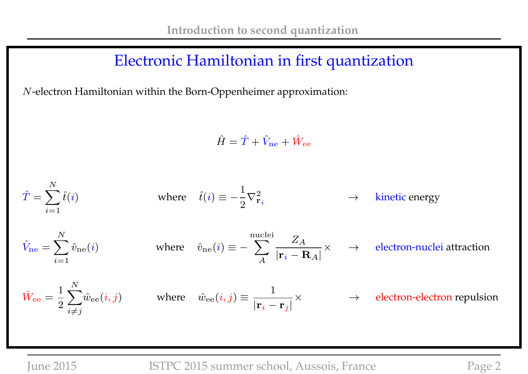### Electronic Hamiltonian in first quantization

N-electron Hamiltonian within the Born-Oppenheimer approximation:

 $\hat{H} = \hat{T} + \hat{V}_{\text{ne}} + \hat{W}_{\text{ee}}$ 

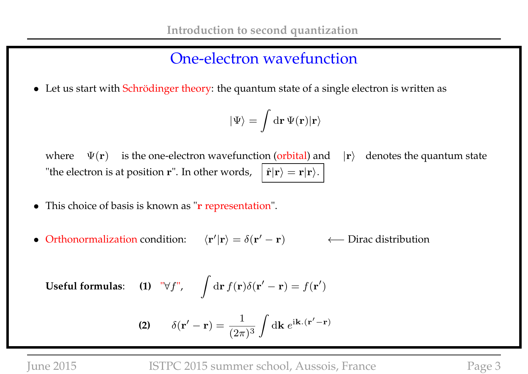### One-electron wavefunction

• Let us start with Schrödinger theory: the quantum state of a single electron is written as

$$
|\Psi\rangle = \int \mathrm{d}\mathbf{r}\, \Psi(\mathbf{r}) |\mathbf{r}\rangle
$$

where  $\Psi(\mathbf{r})$  is the one-electron wavefunction (orbital) and  $|\mathbf{r}\rangle$  denotes the quantum state "the electron is at position **r**". In other words,  $|\hat{\mathbf{r}}|\mathbf{r}\rangle = \mathbf{r}|\mathbf{r}\rangle$ .

- This choice of basis is known as "**r** representation".
- Orthonormalization condition:  $\langle {\bf r}'|{\bf r}\rangle = \delta({\bf r}'-{\bf r})$  ← Dirac distribution

**Useful formulas:** (1) "
$$
\forall f
$$
",  $\int d\mathbf{r} f(\mathbf{r}) \delta(\mathbf{r}' - \mathbf{r}) = f(\mathbf{r}')$ 

(2) 
$$
\delta(\mathbf{r}' - \mathbf{r}) = \frac{1}{(2\pi)^3} \int d\mathbf{k} e^{i\mathbf{k} \cdot (\mathbf{r}' - \mathbf{r})}
$$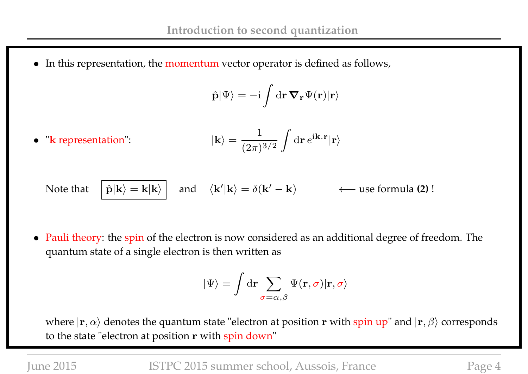• In this representation, the momentum vector operator is defined as follows,

$$
\hat{\mathbf{p}}|\Psi\rangle=-\mathrm{i}\int\mathrm{d}\mathbf{r}\,\mathbf{\nabla}_{\mathbf{r}}\Psi(\mathbf{r})|\mathbf{r}\rangle
$$

 $\bullet$  " $k$  representation":  $3/2$ 

$$
|\mathbf{k}\rangle = \frac{1}{(2\pi)^{3/2}} \int d\mathbf{r} \, e^{i\mathbf{k} \cdot \mathbf{r}} |\mathbf{r}\rangle
$$

Note that  $|\hat{\mathbf{p}}| \mathbf{k} \rangle = \mathbf{k} | \mathbf{k} \rangle$  $\langle \vert \mathbf{k} \rangle = \delta(\mathbf{k}')$ − k) ←− use formula **(2)** !

• Pauli theory: the spin of the electron is now considered as an additional degree of freedom. The quantum state of a single electron is then written as

$$
|\Psi\rangle = \int \mathrm{d}\mathbf{r} \sum_{\sigma=\alpha,\beta} \Psi(\mathbf{r},\sigma) |\mathbf{r},\sigma\rangle
$$

where  $|\mathbf{r}, \alpha\rangle$  denotes the quantum state "electron at position r with spin up" and  $|\mathbf{r}, \beta\rangle$  corresponds to the state "electron at position r with spin down"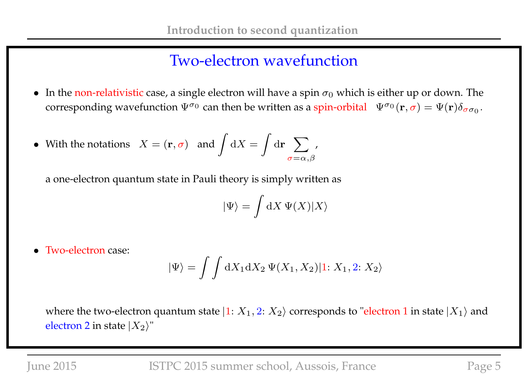### Two-electron wavefunction

• In the non-relativistic case, a single electron will have a spin  $\sigma_0$  which is either up or down. The corresponding wavefunction  $\Psi^{\sigma_0}$  can then be written as a spin-orbital  $\Psi^{\sigma_0}(\mathbf{r},\sigma)=\Psi(\mathbf{r})\delta_{\sigma\sigma_0}$ .

• With the notations 
$$
X = (\mathbf{r}, \sigma)
$$
 and  $\int dX = \int d\mathbf{r} \sum_{\sigma = \alpha, \beta'}$ ,

a one-electron quantum state in Pauli theory is simply written as

$$
|\Psi\rangle = \int \mathrm{d}X \, \Psi(X)|X\rangle
$$

• Two-electron case:

$$
|\Psi\rangle = \int \int dX_1 dX_2 \, \Psi(X_1, X_2)|1: X_1, 2: X_2\rangle
$$

where the two-electron quantum state  $|1: X_1, 2: X_2\rangle$  corresponds to "electron 1 in state  $|X_1\rangle$  and electron 2 in state  $|X_2\rangle$ "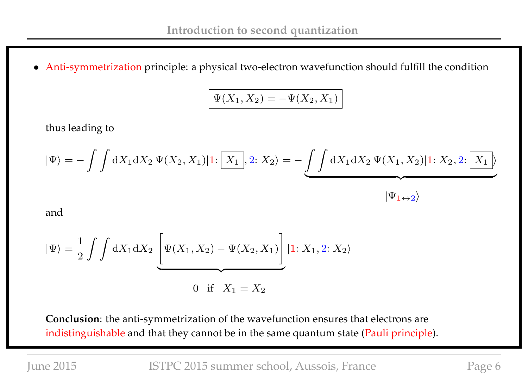• Anti-symmetrization principle: a physical two-electron wavefunction should fulfill the condition

$$
\Psi(X_1, X_2) = -\Psi(X_2, X_1)
$$

thus leading to

$$
|\Psi\rangle = -\int \int dX_1 dX_2 \, \Psi(X_2, X_1)|1: \boxed{X_1}, 2: X_2\rangle = -\underbrace{\int \int dX_1 dX_2 \, \Psi(X_1, X_2)|1: X_2, 2: \boxed{X_1}}_{|\Psi_1 \leftrightarrow 2\rangle}
$$

and

$$
|\Psi\rangle = \frac{1}{2} \int \int dX_1 dX_2 \underbrace{\left[\Psi(X_1, X_2) - \Psi(X_2, X_1) \right]} |1; X_1, 2; X_2\rangle
$$
  
0 if  $X_1 = X_2$ 

**Conclusion**: the anti-symmetrization of the wavefunction ensures that electrons are indistinguishable and that they cannot be in the same quantum state (Pauli principle).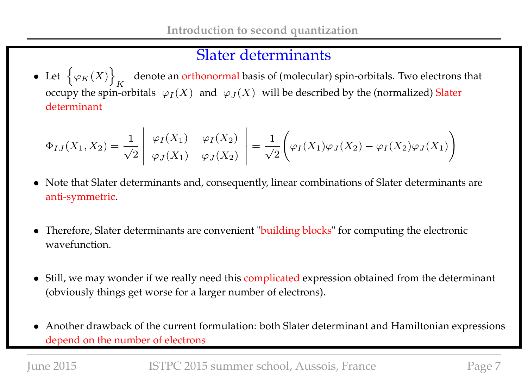### Slater determinants

• Let  $\{\varphi_K(X)\}\$ K denote an orthonormal basis of (molecular) spin-orbitals. Two electrons that occupy the spin-orbitals  $\;\varphi_I(X)\;$  and  $\;\varphi_J(X)\;$  will be described by the (normalized) Slater determinant

$$
\Phi_{IJ}(X_1, X_2) = \frac{1}{\sqrt{2}} \begin{vmatrix} \varphi_I(X_1) & \varphi_I(X_2) \\ \varphi_J(X_1) & \varphi_J(X_2) \end{vmatrix} = \frac{1}{\sqrt{2}} \left( \varphi_I(X_1) \varphi_J(X_2) - \varphi_I(X_2) \varphi_J(X_1) \right)
$$

- Note that Slater determinants and, consequently, linear combinations of Slater determinants are anti-symmetric.
- Therefore, Slater determinants are convenient "building blocks" for computing the electronic wavefunction.
- Still, we may wonder if we really need this complicated expression obtained from the determinant (obviously things get worse for a larger number of electrons).
- Another drawback of the current formulation: both Slater determinant and Hamiltonian expressions depend on the number of electrons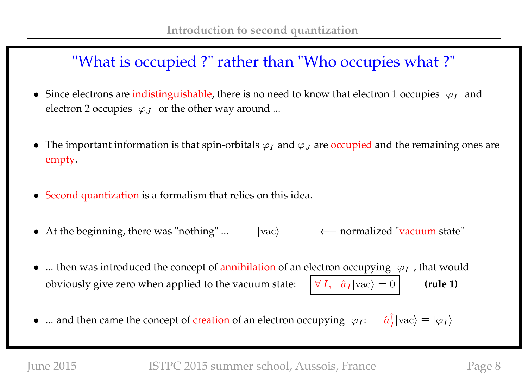## "What is occupied ?" rather than "Who occupies what ?"

- Since electrons are indistinguishable, there is no need to know that electron 1 occupies  $\varphi_I$  and electron 2 occupies  $\ \varphi_J\;$  or the other way around ...
- The important information is that spin-orbitals  $\varphi_I$  and  $\varphi_J$  are occupied and the remaining ones are empty.
- Second quantization is a formalism that relies on this idea.
- At the beginning, there was "nothing" ... |vac> ← normalized "vacuum state"
- ... then was introduced the concept of annihilation of an electron occupying  $\varphi_I$ , that would obviously give zero when applied to the vacuum state:  $|\forall I, \hat{a}_I | \text{vac} \rangle = 0$  (rule 1)
- ... and then came the concept of creation of an electron occupying  $\varphi_I$ : †  $\frac{1}{I}$ |vac $\rangle \equiv |\varphi_I\rangle$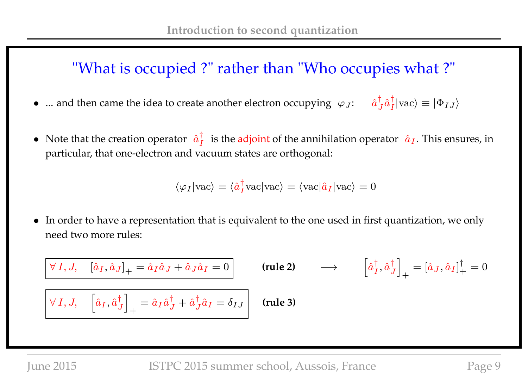### "What is occupied ?" rather than "Who occupies what ?"

- ... and then came the idea to create another electron occupying  $\varphi_J$ : †  $_{J}^{\dagger }\hat{a}_{I}^{\dagger }$  $\vert_I\vert \text{vac} \rangle \equiv \vert \Phi_{IJ} \rangle$
- Note that the creation operator  $\hat{a}^{\dagger}_{I}$  $\frac{1}{I}$  is the adjoint of the annihilation operator  $\hat{a}_I$ . This ensures, in particular, that one-electron and vacuum states are orthogonal:

$$
\langle \varphi_I | \text{vac} \rangle = \langle \hat{a}_I^{\dagger} \text{vac} | \text{vac} \rangle = \langle \text{vac} | \hat{a}_I | \text{vac} \rangle = 0
$$

• In order to have a representation that is equivalent to the one used in first quantization, we only need two more rules:

$$
\begin{aligned}\n\boxed{\forall I, J, \quad [\hat{a}_I, \hat{a}_J]_+ = \hat{a}_I \hat{a}_J + \hat{a}_J \hat{a}_I = 0} & \text{(rule 2)} & \rightarrow & \left[\hat{a}_I^\dagger, \hat{a}_J^\dagger\right]_+ = [\hat{a}_J, \hat{a}_I]_+^\dagger = 0 \\
\boxed{\forall I, J, \quad \left[\hat{a}_I, \hat{a}_J^\dagger\right]_+ = \hat{a}_I \hat{a}_J^\dagger + \hat{a}_J^\dagger \hat{a}_I = \delta_{IJ} & \text{(rule 3)}\n\end{aligned}
$$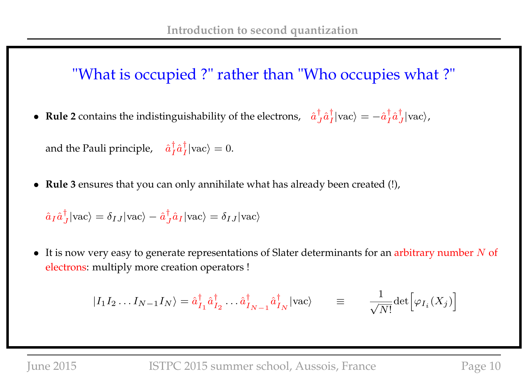## "What is occupied ?" rather than "Who occupies what ?"

• **Rule 2** contains the indistinguishability of the electrons,  $\hat{a}^{\dagger}_{j}$  $_{J}^{\dagger }\hat{a}_{I}^{\dagger }$  $\frac{\dagger}{I}|\text{vac}\rangle = -\hat{a}^{\dagger}_{I}$  $_{I}^{\dagger}\hat{a}_{J}^{\dagger}$  $\frac{1}{J}$  | vac $\rangle$ ,

and the Pauli principle,  $\hat{a}^{\dagger}_{I}$  $_{I}^{\dagger}\hat{a}_{I}^{\dagger}$  $\frac{1}{I}$ |vac $\rangle = 0$ .

• **Rule 3** ensures that you can only annihilate what has already been created (!),

$$
\hat{a}_I \hat{a}_J^{\dagger} |\text{vac}\rangle = \delta_{IJ} |\text{vac}\rangle - \hat{a}_J^{\dagger} \hat{a}_I |\text{vac}\rangle = \delta_{IJ} |\text{vac}\rangle
$$

 $\bullet$  It is now very easy to generate representations of Slater determinants for an arbitrary number N of electrons: multiply more creation operators !

$$
|I_1 I_2 ... I_{N-1} I_N\rangle = \hat{a}_{I_1}^{\dagger} \hat{a}_{I_2}^{\dagger} ... \hat{a}_{I_{N-1}}^{\dagger} \hat{a}_{I_N}^{\dagger} |vac\rangle \qquad \equiv \qquad \frac{1}{\sqrt{N!}} det \Big[ \varphi_{I_i}(X_j) \Big]
$$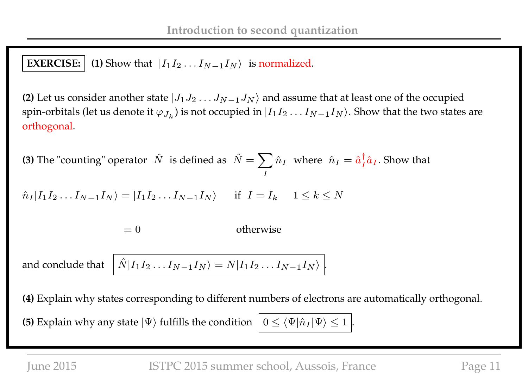### **EXERCISE:**  $\vert$  (1) Show that  $\vert I_1 I_2 ... I_{N-1} I_N \rangle$  is normalized.

**(2)** Let us consider another state  $|J_1J_2 \ldots J_{N-1}J_N\rangle$  and assume that at least one of the occupied spin-orbitals (let us denote it  $\varphi_{J_k}$ ) is not occupied in  $|I_1I_2\ldots I_{N-1}I_N\rangle.$  Show that the two states are orthogonal.

**(3)** The "counting" operator  $\hat{N}$  is defined as  $\hat{N} = \sum \hat{n}_I$  where  $\hat{n}_I = \hat{a}_I^{\dagger}$ I  $\frac{1}{I}\hat{a}_I$ . Show that

$$
\hat{n}_I | I_1 I_2 \dots I_{N-1} I_N \rangle = | I_1 I_2 \dots I_{N-1} I_N \rangle \quad \text{if } I = I_k \quad 1 \le k \le N
$$

 $= 0$  otherwise

and conclude that  $I_2...I_{N-1}I_N\rangle=N|I_1I_2...I_{N-1}I_N\rangle|.$ 

**(4)** Explain why states corresponding to different numbers of electrons are automatically orthogonal.

**(5)** Explain why any state  $|\Psi\rangle$  fulfills the condition  $|0 \leq \langle \Psi | \hat{n}_I | \Psi \rangle \leq 1$ .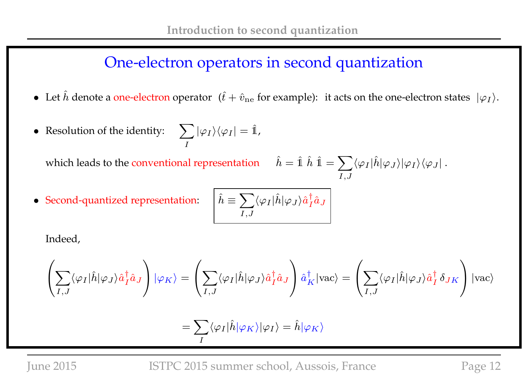### One-electron operators in second quantization

- Let  $\hat{h}$  denote a one-electron operator  $(\hat{t} + \hat{v}_{ne}$  for example): it acts on the one-electron states  $|\varphi_I\rangle$ .
- Resolution of the identity:  $\sum$ I  $|\varphi_I\rangle\langle\varphi_I|=\hat{\mathbb{1}},$

which leads to the conventional representation  $\hat{h} = \hat{1} \hat{h} \hat{1} = \sum_{\hat{h} = \hat{h}$ 

 $I,J$  $\langle \varphi_I|\hat h|\varphi_J\rangle|\varphi_I\rangle\langle \varphi_J|$  .

• Second-quantized representation: 
$$
\hat{h} \equiv
$$

$$
\left\lceil \hat{h} \equiv \sum_{I,J} \langle \varphi_I | \hat{h} | \varphi_J \rangle \hat{a}^\dagger_I \hat{a}_J \right\rceil
$$

Indeed,

$$
\left(\sum_{I,J}\langle \varphi_I|\hat{h}|\varphi_J\rangle\hat{a}_I^\dagger\hat{a}_J\right)|\varphi_K\rangle=\left(\sum_{I,J}\langle \varphi_I|\hat{h}|\varphi_J\rangle\hat{a}_I^\dagger\hat{a}_J\right)\hat{a}_K^\dagger|{\rm vac}\rangle=\left(\sum_{I,J}\langle \varphi_I|\hat{h}|\varphi_J\rangle\hat{a}_I^\dagger\,\delta_{JK}\right)|{\rm vac}\rangle
$$

$$
=\sum_I \langle \varphi_I|\hat{h}|\varphi_K\rangle|\varphi_I\rangle=\hat{h}|\varphi_K\rangle
$$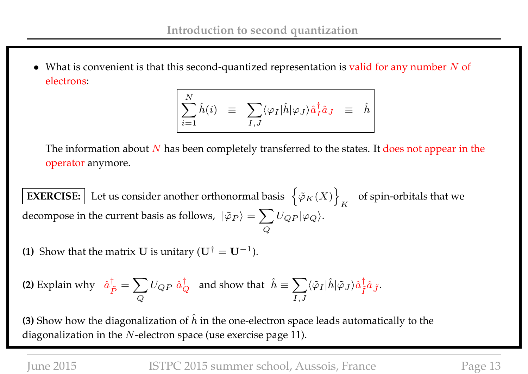• What is convenient is that this second-quantized representation is valid for any number  $N$  of electrons:

$$
\sum_{i=1}^N \hat{h}(i) \quad \equiv \quad \sum_{I,J} \langle \varphi_I | \hat{h} | \varphi_J \rangle \hat{a}_I^{\dagger} \hat{a}_J \quad \equiv \quad \hat{h}
$$

The information about  $N$  has been completely transferred to the states. It does not appear in the operator anymore.

**EXERCISE:** Let us consider another orthonormal basis  $\{\varphi_K(X)\}\$ K of spin-orbitals that we decompose in the current basis as follows,  $\ket{\tilde{\varphi}_P}=\sum \limits_{i=1}^N\ket{\tilde{\varphi}_P}$  $\pmb Q$  $U_{QP}|\varphi_Q\rangle.$ 

**(1)** Show that the matrix **U** is unitary  $(\mathbf{U}^{\dagger} = \mathbf{U}^{-1})$ .

(2) Explain why 
$$
\hat{a}_{\tilde{P}}^{\dagger} = \sum_{Q} U_{QP} \hat{a}_{Q}^{\dagger}
$$
 and show that  $\hat{h} \equiv \sum_{I,J} \langle \tilde{\varphi}_I | \hat{h} | \tilde{\varphi}_J \rangle \hat{a}_{\tilde{I}}^{\dagger} \hat{a}_{\tilde{J}}$ .

**(3)** Show how the diagonalization of  $\hat{h}$  in the one-electron space leads automatically to the diagonalization in the  $N$ -electron space (use exercise page 11).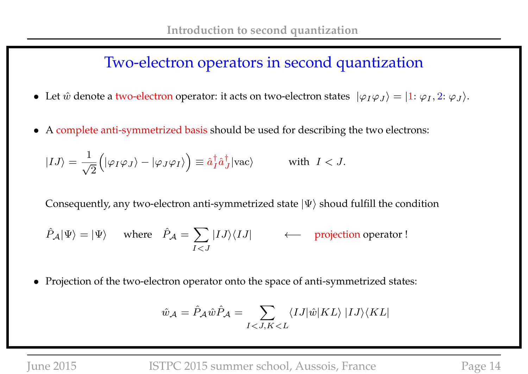### Two-electron operators in second quantization

- Let  $\hat{w}$  denote a two-electron operator: it acts on two-electron states  $|\varphi_I\varphi_J\rangle = |1: \varphi_I, 2: \varphi_J\rangle$ .
- A complete anti-symmetrized basis should be used for describing the two electrons:

$$
|IJ\rangle = \frac{1}{\sqrt{2}} \left( |\varphi_I \varphi_J \rangle - |\varphi_J \varphi_I \rangle \right) \equiv \hat{a}_I^{\dagger} \hat{a}_J^{\dagger} |\text{vac}\rangle \quad \text{with } I < J.
$$

Consequently, any two-electron anti-symmetrized state  $|\Psi\rangle$  shoud fulfill the condition

$$
\hat{P}_{\mathcal{A}}|\Psi\rangle = |\Psi\rangle
$$
 where  $\hat{P}_{\mathcal{A}} = \sum_{I < J} |IJ\rangle\langle IJ|$  \n $\leftarrow$  projection operator!

• Projection of the two-electron operator onto the space of anti-symmetrized states:

$$
\hat{w}_{\mathcal{A}} = \hat{P}_{\mathcal{A}} \hat{w} \hat{P}_{\mathcal{A}} = \sum_{I < J, K < L} \langle I J | \hat{w} | K L \rangle | I J \rangle \langle K L |
$$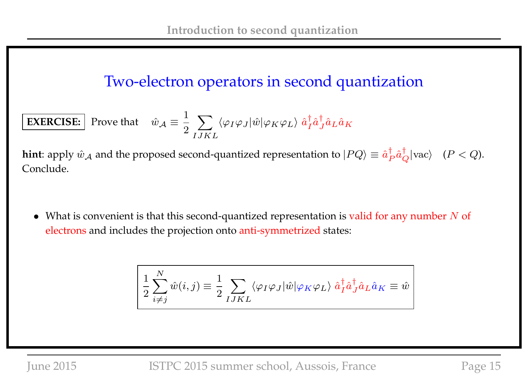### Two-electron operators in second quantization

**EXERCISE:** Prove that 
$$
\hat{w}_{A} \equiv \frac{1}{2} \sum_{IJKL} \langle \varphi_I \varphi_J | \hat{w} | \varphi_K \varphi_L \rangle \hat{a}_I^{\dagger} \hat{a}_L^{\dagger} \hat{a}_L \hat{a}_K
$$

**hint**: apply  $\hat{w}_\mathcal{A}$  and the proposed second-quantized representation to  $|PQ\rangle\equiv \hat{a}^\dagger_R$  $_P^{\dagger} \hat{a}_Q^{\dagger} |\text{vac}\rangle$   $(P < Q)$ . Conclude.

• What is convenient is that this second-quantized representation is valid for any number  $N$  of electrons and includes the projection onto anti-symmetrized states:

$$
\left( \frac{1}{2} \sum_{i \neq j}^{N} \hat{w}(i, j) \equiv \frac{1}{2} \sum_{I J K L} \langle \varphi_I \varphi_J | \hat{w} | \varphi_K \varphi_L \rangle \hat{a}_I^{\dagger} \hat{a}_J^{\dagger} \hat{a}_L \hat{a}_K \equiv \hat{w} \right)
$$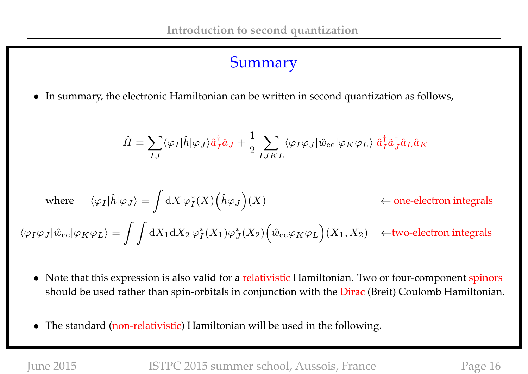### Summary

• In summary, the electronic Hamiltonian can be written in second quantization as follows,

$$
\hat{H} = \sum_{IJ} \langle \varphi_I | \hat{h} | \varphi_J \rangle \hat{a}_I^{\dagger} \hat{a}_J + \frac{1}{2} \sum_{IJKL} \langle \varphi_I \varphi_J | \hat{w}_{\text{ee}} | \varphi_K \varphi_L \rangle \hat{a}_I^{\dagger} \hat{a}_J^{\dagger} \hat{a}_L \hat{a}_K
$$

where 
$$
\langle \varphi_I | \hat{h} | \varphi_J \rangle = \int dX \varphi_I^*(X) (\hat{h} \varphi_J)(X)
$$
  $\leftarrow$  one-electron integrals  
 $\langle \varphi_I \varphi_J | \hat{w}_{ee} | \varphi_K \varphi_L \rangle = \int \int dX_1 dX_2 \varphi_I^*(X_1) \varphi_J^*(X_2) (\hat{w}_{ee} \varphi_K \varphi_L)(X_1, X_2) \leftarrow$ two-electron integrals

- Note that this expression is also valid for a relativistic Hamiltonian. Two or four-component spinors should be used rather than spin-orbitals in conjunction with the Dirac (Breit) Coulomb Hamiltonian.
- The standard (non-relativistic) Hamiltonian will be used in the following.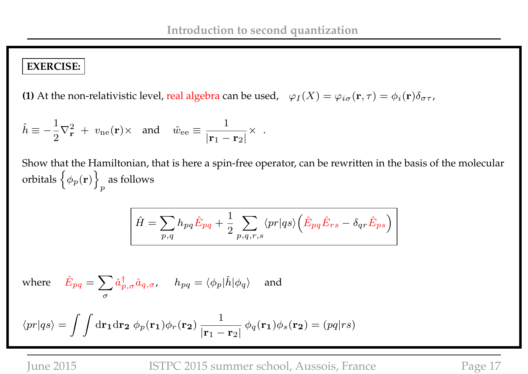### **EXERCISE:**

**(1)** At the non-relativistic level, real algebra can be used,  $\varphi_I(X) = \varphi_{i\sigma}(\mathbf{r},\tau) = \phi_i(\mathbf{r})\delta_{\sigma\tau}$ ,

$$
\hat{h} \equiv -\frac{1}{2}\nabla_{\mathbf{r}}^2 + v_{\text{ne}}(\mathbf{r}) \times \text{ and } \hat{w}_{\text{ee}} \equiv \frac{1}{|\mathbf{r}_1 - \mathbf{r}_2|} \times .
$$

Show that the Hamiltonian, that is here a spin-free operator, can be rewritten in the basis of the molecular orbitals  $\left\{ \phi_p(\mathbf{r}) \right\}$ p as follows

$$
\hat{H} = \sum_{p,q} h_{pq} \hat{E}_{pq} + \frac{1}{2} \sum_{p,q,r,s} \langle pr | qs \rangle \left( \hat{E}_{pq} \hat{E}_{rs} - \delta_{qr} \hat{E}_{ps} \right)
$$

where 
$$
\hat{E}_{pq} = \sum_{\sigma} \hat{a}^{\dagger}_{p,\sigma} \hat{a}_{q,\sigma}
$$
,  $h_{pq} = \langle \phi_p | \hat{h} | \phi_q \rangle$  and

$$
\langle pr|qs \rangle = \int \int d\mathbf{r_1} d\mathbf{r_2} \phi_p(\mathbf{r_1}) \phi_r(\mathbf{r_2}) \frac{1}{|\mathbf{r_1} - \mathbf{r_2}|} \phi_q(\mathbf{r_1}) \phi_s(\mathbf{r_2}) = (pq|rs)
$$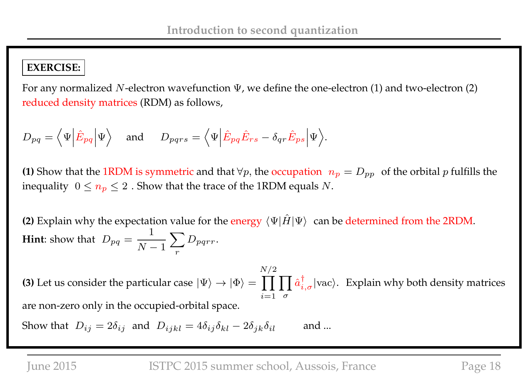### **EXERCISE:**

For any normalized N-electron wavefunction  $\Psi$ , we define the one-electron (1) and two-electron (2) reduced density matrices (RDM) as follows,

$$
D_{pq} = \langle \Psi | \hat{E}_{pq} | \Psi \rangle
$$
 and  $D_{pqrs} = \langle \Psi | \hat{E}_{pq} \hat{E}_{rs} - \delta_{qr} \hat{E}_{ps} | \Psi \rangle$ .

**(1)** Show that the 1RDM is symmetric and that  $\forall p$ , the occupation  $n_p = D_{pp}$  of the orbital p fulfills the inequality  $0 \le n_p \le 2$ . Show that the trace of the 1RDM equals N.

**(2)** Explain why the expectation value for the energy  $\langle \Psi | \hat{H} | \Psi \rangle$  can be determined from the 2RDM. **Hint**: show that  $D_{pq} =$ 1  $N-1$  $\sum$ r  $D_{pqrr}$ .

**(3)** Let us consider the particular case  $|\Psi\rangle\to|\Phi\rangle=\prod\prod\hat{a}^\dag_{i,\sigma}|\text{vac}\rangle$ . Explain why both density matrices  $N/2$  $i=1$   $\sigma$ are non-zero only in the occupied-orbital space.

Show that  $D_{ij} = 2\delta_{ij}$  and  $D_{ijkl} = 4\delta_{ij}\delta_{kl} - 2\delta_{jk}\delta_{il}$  and ...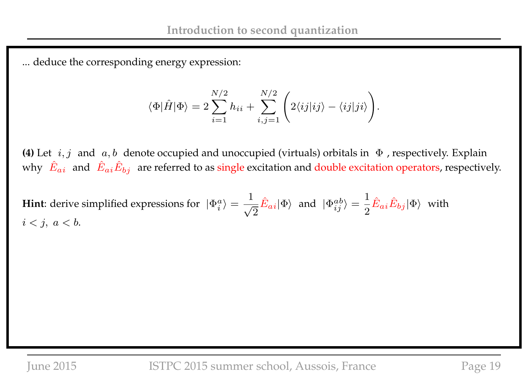... deduce the corresponding energy expression:

$$
\langle \Phi | \hat{H} | \Phi \rangle = 2 \sum_{i=1}^{N/2} h_{ii} + \sum_{i,j=1}^{N/2} \left( 2 \langle i j | i j \rangle - \langle i j | j i \rangle \right).
$$

**(4)** Let  $i, j$  and  $a, b$  denote occupied and unoccupied (virtuals) orbitals in  $\Phi$  , respectively. Explain why  $|\hat{E}_{ai}|$  and  $|\hat{E}_{ai}\hat{E}_{bj}|$  are referred to as single excitation and double excitation operators, respectively.

**Hint**: derive simplified expressions for  $|\Phi_i^a\rangle =$ 1 √ 2  $\hat{E}_{ai} |\Phi\rangle$  and  $|\Phi_{ij}^{ab}\rangle =$ 1 2  $\hat{E}_{ai}\hat{E}_{bj}|\Phi\rangle$  with  $i < j, a < b.$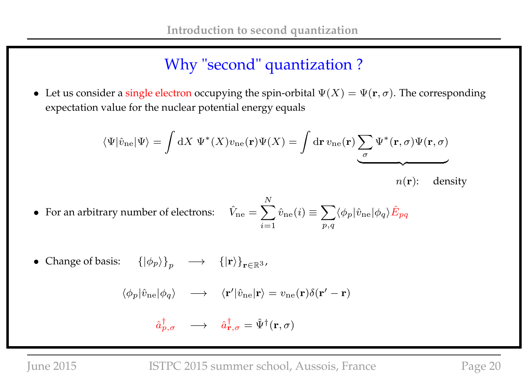## Why "second" quantization ?

• Let us consider a single electron occupying the spin-orbital  $\Psi(X) = \Psi(\mathbf{r}, \sigma)$ . The corresponding expectation value for the nuclear potential energy equals

$$
\langle \Psi | \hat{v}_{\rm ne} | \Psi \rangle = \int dX \ \Psi^*(X) v_{\rm ne}(\mathbf{r}) \Psi(X) = \int d\mathbf{r} \ v_{\rm ne}(\mathbf{r}) \sum_{\sigma} \Psi^*(\mathbf{r}, \sigma) \Psi(\mathbf{r}, \sigma)
$$
  

$$
n(\mathbf{r}): \quad \text{density}
$$

- For an arbitrary number of electrons:  $\hat{V}_{\text{ne}} = \sum$ N  $i=1$  $\hat{v}_\mathrm{ne}(i) \equiv \sum$  $p,q$  $\langle \phi_p|\hat{v}_{\rm ne}|\phi_q\rangle\hat{E}_{pq}$
- Change of basis:  $({|\phi_p\rangle}_{p} \longrightarrow {|\mathbf{r}\rangle}_{\mathbf{r}\in\mathbb{R}^3}$ ,

$$
\langle \phi_p | \hat{v}_{\rm ne} | \phi_q \rangle \quad \longrightarrow \quad \langle \mathbf{r}' | \hat{v}_{\rm ne} | \mathbf{r} \rangle = v_{\rm ne}(\mathbf{r}) \delta(\mathbf{r}' - \mathbf{r})
$$

$$
\hat{a}^{\dagger}_{p,\sigma} \quad \longrightarrow \quad \hat{a}^{\dagger}_{\mathbf{r},\sigma} = \hat{\Psi}^{\dagger}(\mathbf{r},\sigma)
$$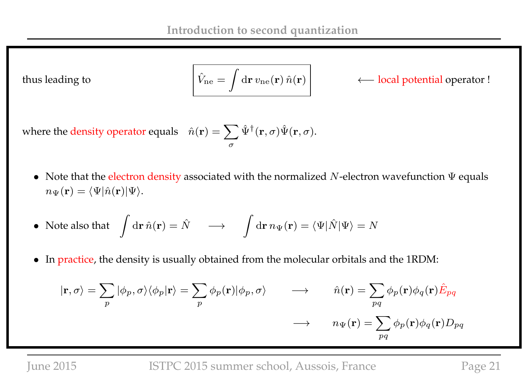thus leading to

$$
\hat{V}_{\text{ne}} = \int d\mathbf{r} \, v_{\text{ne}}(\mathbf{r}) \, \hat{n}(\mathbf{r})
$$

← local potential operator !

where the density operator equals  $\hat{n}(\mathbf{r}) = \sum \hat{\Psi}^{\dagger}(\mathbf{r}, \sigma) \hat{\Psi}(\mathbf{r}, \sigma)$ . σ

• Note that the electron density associated with the normalized  $N$ -electron wavefunction  $\Psi$  equals  $n_{\Psi}(\mathbf{r}) = \langle \Psi | \hat{n}(\mathbf{r}) | \Psi \rangle.$ 

• Note also that 
$$
\int d\mathbf{r} \,\hat{n}(\mathbf{r}) = \hat{N} \longrightarrow \int d\mathbf{r} \, n_{\Psi}(\mathbf{r}) = \langle \Psi | \hat{N} | \Psi \rangle = N
$$

• In practice, the density is usually obtained from the molecular orbitals and the 1RDM:

$$
|\mathbf{r}, \sigma\rangle = \sum_{p} |\phi_{p}, \sigma\rangle \langle \phi_{p} | \mathbf{r} \rangle = \sum_{p} \phi_{p}(\mathbf{r}) |\phi_{p}, \sigma\rangle \qquad \longrightarrow \qquad \hat{n}(\mathbf{r}) = \sum_{pq} \phi_{p}(\mathbf{r}) \phi_{q}(\mathbf{r}) \hat{E}_{pq}
$$

$$
\longrightarrow \qquad n_{\Psi}(\mathbf{r}) = \sum_{pq} \phi_{p}(\mathbf{r}) \phi_{q}(\mathbf{r}) D_{pq}
$$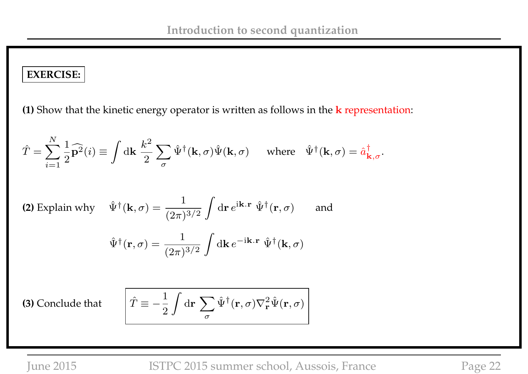### **EXERCISE:**

**(1)** Show that the kinetic energy operator is written as follows in the k representation:

$$
\hat{T} = \sum_{i=1}^{N} \frac{1}{2} \widehat{\mathbf{p}^2}(i) \equiv \int d\mathbf{k} \frac{k^2}{2} \sum_{\sigma} \hat{\Psi}^{\dagger}(\mathbf{k}, \sigma) \hat{\Psi}(\mathbf{k}, \sigma) \quad \text{where} \quad \hat{\Psi}^{\dagger}(\mathbf{k}, \sigma) = \hat{a}_{\mathbf{k}, \sigma}^{\dagger}.
$$

(2) Explain why 
$$
\hat{\Psi}^{\dagger}(\mathbf{k}, \sigma) = \frac{1}{(2\pi)^{3/2}} \int d\mathbf{r} e^{i\mathbf{k} \cdot \mathbf{r}} \hat{\Psi}^{\dagger}(\mathbf{r}, \sigma)
$$
 and  

$$
\hat{\Psi}^{\dagger}(\mathbf{r}, \sigma) = \frac{1}{(2\pi)^{3/2}} \int d\mathbf{k} e^{-i\mathbf{k} \cdot \mathbf{r}} \hat{\Psi}^{\dagger}(\mathbf{k}, \sigma)
$$

**(3)** Conclude that

$$
\hat{T} \equiv -\frac{1}{2} \int d\mathbf{r} \sum_{\sigma} \hat{\Psi}^{\dagger}(\mathbf{r}, \sigma) \nabla_{\mathbf{r}}^2 \hat{\Psi}(\mathbf{r}, \sigma)
$$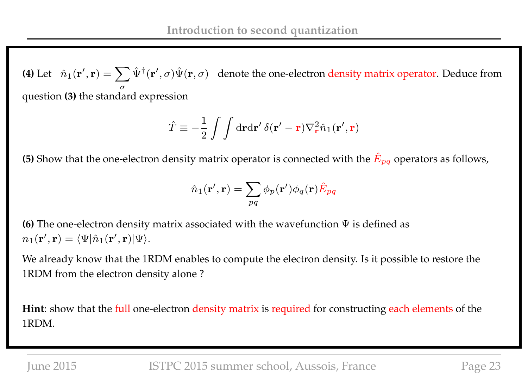**(4)** Let  $\hat{n}_1(\mathbf{r}',\mathbf{r}) = \sum \hat{\Psi}^{\dagger}(\mathbf{r}',\sigma) \hat{\Psi}(\mathbf{r},\sigma)$  denote the one-electron density matrix operator. Deduce from σ question **(3)** the standard expression

$$
\hat{T} \equiv -\frac{1}{2} \int \int d\mathbf{r} d\mathbf{r}' \, \delta(\mathbf{r}' - \mathbf{r}) \nabla_{\mathbf{r}}^2 \hat{n}_1(\mathbf{r}', \mathbf{r})
$$

**(5)** Show that the one-electron density matrix operator is connected with the  $\hat{E}_{pq}$  operators as follows,

$$
\hat{n}_1(\mathbf{r}',\mathbf{r})=\sum_{pq}\phi_p(\mathbf{r}')\phi_q(\mathbf{r})\hat{E}_{pq}
$$

**(6)** The one-electron density matrix associated with the wavefunction Ψ is defined as  $n_1(\mathbf{r}',\mathbf{r}) = \langle \Psi | \hat{n}_1(\mathbf{r}',\mathbf{r}) | \Psi \rangle.$ 

We already know that the 1RDM enables to compute the electron density. Is it possible to restore the 1RDM from the electron density alone ?

**Hint**: show that the full one-electron density matrix is required for constructing each elements of the 1RDM.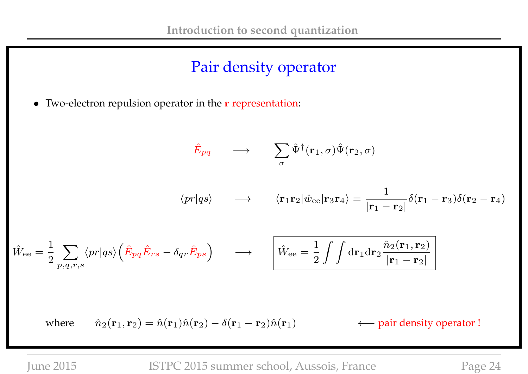## Pair density operator

• Two-electron repulsion operator in the **r** representation:

$$
\hat{E}_{pq} \longrightarrow \sum_{\sigma} \hat{\Psi}^{\dagger}(\mathbf{r}_{1}, \sigma) \hat{\Psi}(\mathbf{r}_{2}, \sigma)
$$
\n
$$
\langle pr|qs \rangle \longrightarrow \langle \mathbf{r}_{1}\mathbf{r}_{2}|\hat{w}_{ee}|\mathbf{r}_{3}\mathbf{r}_{4}\rangle = \frac{1}{|\mathbf{r}_{1} - \mathbf{r}_{2}|} \delta(\mathbf{r}_{1} - \mathbf{r}_{3})\delta(\mathbf{r}_{2} - \mathbf{r}_{4})
$$
\n
$$
\hat{W}_{ee} = \frac{1}{2} \sum_{p,q,r,s} \langle pr|qs \rangle \left(\hat{E}_{pq}\hat{E}_{rs} - \delta_{qr}\hat{E}_{ps}\right) \longrightarrow \left[\hat{W}_{ee} = \frac{1}{2} \int \int d\mathbf{r}_{1} d\mathbf{r}_{2} \frac{\hat{n}_{2}(\mathbf{r}_{1}, \mathbf{r}_{2})}{|\mathbf{r}_{1} - \mathbf{r}_{2}|}\right]
$$

where  $\hat{n}_2(\mathbf{r}_1, \mathbf{r}_2) = \hat{n}(\mathbf{r}_1)\hat{n}(\mathbf{r}_2) - \delta(\mathbf{r}_1 - \mathbf{r}_2)\hat{n}(\mathbf{r}_1)$   $\leftarrow$  pair density operator !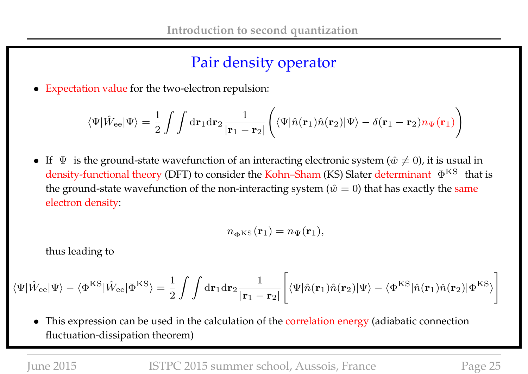### Pair density operator

• Expectation value for the two-electron repulsion:

$$
\langle\Psi|\hat{W}_{\rm ee}|\Psi\rangle=\frac{1}{2}\int\int\mathrm{d}\mathbf{r}_1\mathrm{d}\mathbf{r}_2\frac{1}{|\mathbf{r}_1-\mathbf{r}_2|}\Bigg(\langle\Psi|\hat{n}(\mathbf{r}_1)\hat{n}(\mathbf{r}_2)|\Psi\rangle-\delta(\mathbf{r}_1-\mathbf{r}_2)n_\Psi(\mathbf{r}_1)\Bigg)
$$

• If  $\Psi$  is the ground-state wavefunction of an interacting electronic system ( $\hat{w} \neq 0$ ), it is usual in density-functional theory (DFT) to consider the Kohn–Sham (KS) Slater determinant  $\Phi^{\rm KS}$  that is the ground-state wavefunction of the non-interacting system ( $\hat{w} = 0$ ) that has exactly the same electron density:

$$
n_{\Phi^{\rm KS}}(\mathbf{r}_1)=n_{\Psi}(\mathbf{r}_1),
$$

thus leading to

$$
\langle\Psi|\hat{W}_{\rm ee}|\Psi\rangle-\langle\Phi^{\rm KS}|\hat{W}_{\rm ee}|\Phi^{\rm KS}\rangle=\frac{1}{2}\int\int{\rm d}\mathbf{r}_1{\rm d}\mathbf{r}_2\frac{1}{|\mathbf{r}_1-\mathbf{r}_2|}\left[\langle\Psi|\hat{n}(\mathbf{r}_1)\hat{n}(\mathbf{r}_2)|\Psi\rangle-\langle\Phi^{\rm KS}|\hat{n}(\mathbf{r}_1)\hat{n}(\mathbf{r}_2)|\Phi^{\rm KS}\rangle\right]
$$

• This expression can be used in the calculation of the correlation energy (adiabatic connection fluctuation-dissipation theorem)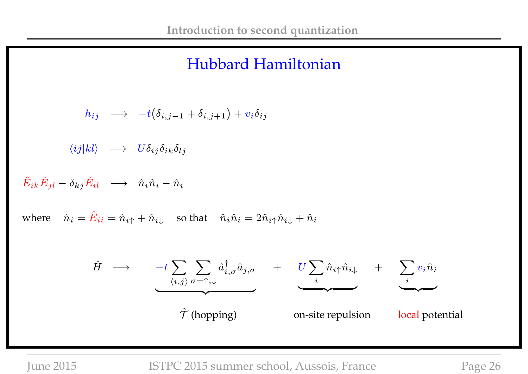### Hubbard Hamiltonian

$$
h_{ij} \longrightarrow -t(\delta_{i,j-1} + \delta_{i,j+1}) + v_i \delta_{ij}
$$
\n
$$
\langle ij|kl \rangle \longrightarrow U \delta_{ij} \delta_{ik} \delta_{lj}
$$
\n
$$
\hat{E}_{ik}\hat{E}_{jl} - \delta_{kj}\hat{E}_{il} \longrightarrow \hat{n}_i \hat{n}_i - \hat{n}_i
$$
\nwhere  $\hat{n}_i = \hat{E}_{ii} = \hat{n}_{i\uparrow} + \hat{n}_{i\downarrow}$  so that  $\hat{n}_i \hat{n}_i = 2\hat{n}_{i\uparrow} \hat{n}_{i\downarrow} + \hat{n}_i$ \n
$$
\hat{H} \longrightarrow -t \sum_{\langle i,j \rangle} \sum_{\sigma = \uparrow, \downarrow} \hat{a}_{i,\sigma}^{\dagger} \hat{a}_{j,\sigma} + U \sum_{i} \hat{n}_{i\uparrow} \hat{n}_{i\downarrow} + \sum_{i} v_i \hat{n}_i
$$
\n
$$
\hat{\mathcal{T}} \text{ (hopping)} \qquad \text{on-site repulsion} \qquad \text{local potential}
$$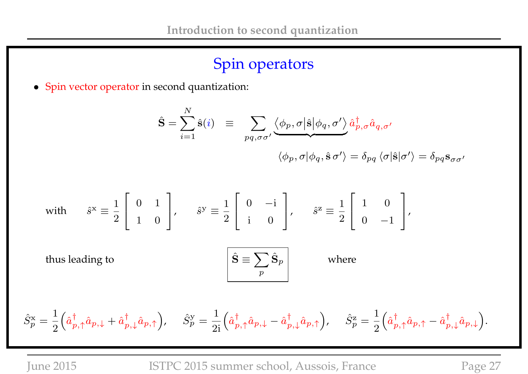# Spin operators

• Spin vector operator in second quantization:

$$
\hat{\mathbf{S}} = \sum_{i=1}^{N} \hat{\mathbf{s}}(i) \equiv \sum_{pq,\sigma\sigma'} \langle \phi_p, \sigma | \hat{\mathbf{s}} | \phi_q, \sigma' \rangle \hat{a}_{p,\sigma}^{\dagger} \hat{a}_{q,\sigma'}
$$

$$
\langle \phi_p, \sigma | \phi_q, \hat{\mathbf{s}} \sigma' \rangle = \delta_{pq} \langle \sigma | \hat{\mathbf{s}} | \sigma' \rangle = \delta_{pq} \mathbf{s}_{\sigma\sigma'}
$$

with 
$$
\hat{s}^x \equiv \frac{1}{2} \begin{bmatrix} 0 & 1 \\ 1 & 0 \end{bmatrix}
$$
,  $\hat{s}^y \equiv \frac{1}{2} \begin{bmatrix} 0 & -i \\ i & 0 \end{bmatrix}$ ,  $\hat{s}^z \equiv \frac{1}{2} \begin{bmatrix} 1 & 0 \\ 0 & -1 \end{bmatrix}$ ,  
thus leading to  $\hat{\mathbf{S}} \equiv \sum_p \hat{\mathbf{S}}_p$  where

$$
\hat{S}_p^\text{x} = \frac{1}{2} \Big( \hat{a}_{p,\uparrow}^\dagger \hat{a}_{p,\downarrow} + \hat{a}_{p,\downarrow}^\dagger \hat{a}_{p,\uparrow} \Big), \quad \ \hat{S}_p^\text{y} = \frac{1}{2\mathrm{i}} \Big( \hat{a}_{p,\uparrow}^\dagger \hat{a}_{p,\downarrow} - \hat{a}_{p,\downarrow}^\dagger \hat{a}_{p,\uparrow} \Big), \quad \ \hat{S}_p^\text{z} = \frac{1}{2} \Big( \hat{a}_{p,\uparrow}^\dagger \hat{a}_{p,\uparrow} - \hat{a}_{p,\downarrow}^\dagger \hat{a}_{p,\downarrow} \Big).
$$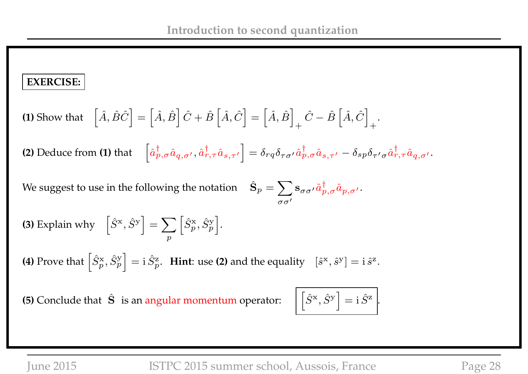### **EXERCISE:**

(1) Show that 
$$
\begin{bmatrix} \hat{A}, \hat{B}\hat{C} \end{bmatrix} = \begin{bmatrix} \hat{A}, \hat{B} \end{bmatrix} \hat{C} + \hat{B} \begin{bmatrix} \hat{A}, \hat{C} \end{bmatrix} = \begin{bmatrix} \hat{A}, \hat{B} \end{bmatrix}_{+} \hat{C} - \hat{B} \begin{bmatrix} \hat{A}, \hat{C} \end{bmatrix}_{+}.
$$

**(2)** Deduce from **(1)** that  $\left[\hat{a}^{\dagger}_{p,\sigma}\hat{a}_{q,\sigma'},\hat{a}^{\dagger}_{r,\tau}\hat{a}_{s,\tau'}\right] = \delta_{rq}\delta_{\tau\sigma'}\hat{a}^{\dagger}_{p,\sigma}\hat{a}_{s,\tau'} - \delta_{sp}\delta_{\tau'\sigma}\hat{a}^{\dagger}_{r,\tau}\hat{a}_{q,\sigma'}.$ 

We suggest to use in the following the notation  $\hat{\mathbf{S}}_p = \sum \limits_{i=1}^p \mathbf{S}_p$  $\sigma\sigma'$  $\mathbf{s}_{\sigma\sigma'} \hat{a}^{\dagger}_{p,\sigma} \hat{a}_{p,\sigma'}.$ 

**(3)** Explain why  $\left[\hat{S}^{\text{x}}, \hat{S}^{\text{y}}\right] = \sum$ p  $\left[\hat{S}_p^{\text{x}}, \hat{S}_p^{\text{y}}\right]$ i .

**(4)** Prove that  $\left[\hat{S}_p^{\text{x}}, \hat{S}_p^{\text{y}}\right]$  $\Big] = \mathrm{i} \, \hat{S}^{\mathrm{z}}_p$ . **Hint**: use (2) and the equality  $[\hat{s}^{\mathrm{x}}, \hat{s}^{\mathrm{y}}] = \mathrm{i} \, \hat{s}^{\mathrm{z}}$ .

**(5)** Conclude that  $\hat{S}$  is an angular momentum operator:

$$
\overline{\left[\hat{S}^{\mathrm{x}}, \hat{S}^{\mathrm{y}}\right]} = \mathbf{i} \hat{S}^{\mathrm{z}}.
$$